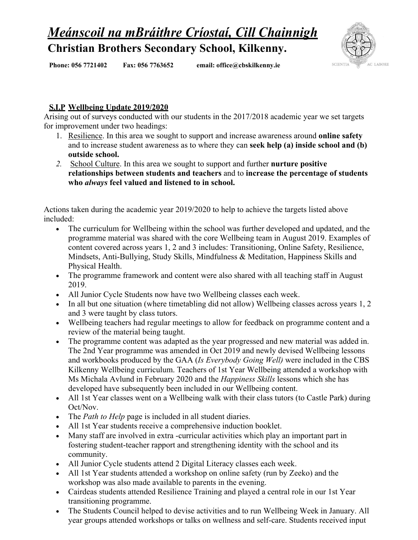## *Meánscoil na mBráithre Críostaí, Cill Chainnigh* **Christian Brothers Secondary School, Kilkenny.**



**Phone: 056 7721402 Fax: 056 7763652 email: [office@cbskilkenny.ie](mailto:office@cbskilkenny.ie)**

## **S.I.P Wellbeing Update 2019/2020**

Arising out of surveys conducted with our students in the 2017/2018 academic year we set targets for improvement under two headings:

- 1. Resilience. In this area we sought to support and increase awareness around **online safety** and to increase student awareness as to where they can **seek help (a) inside school and (b) outside school.**
- *2.* School Culture. In this area we sought to support and further **nurture positive relationships between students and teachers** and to **increase the percentage of students who** *always* **feel valued and listened to in school.**

Actions taken during the academic year 2019/2020 to help to achieve the targets listed above included:

- The curriculum for Wellbeing within the school was further developed and updated, and the programme material was shared with the core Wellbeing team in August 2019. Examples of content covered across years 1, 2 and 3 includes: Transitioning, Online Safety, Resilience, Mindsets, Anti-Bullying, Study Skills, Mindfulness & Meditation, Happiness Skills and Physical Health.
- The programme framework and content were also shared with all teaching staff in August 2019.
- All Junior Cycle Students now have two Wellbeing classes each week.
- In all but one situation (where timetabling did not allow) Wellbeing classes across years 1, 2 and 3 were taught by class tutors.
- Wellbeing teachers had regular meetings to allow for feedback on programme content and a review of the material being taught.
- The programme content was adapted as the year progressed and new material was added in. The 2nd Year programme was amended in Oct 2019 and newly devised Wellbeing lessons and workbooks produced by the GAA (*Is Everybody Going Well)* were included in the CBS Kilkenny Wellbeing curriculum. Teachers of 1st Year Wellbeing attended a workshop with Ms Michala Avlund in February 2020 and the *Happiness Skills* lessons which she has developed have subsequently been included in our Wellbeing content.
- All 1st Year classes went on a Wellbeing walk with their class tutors (to Castle Park) during Oct/Nov.
- The *Path to Help* page is included in all student diaries.
- All 1st Year students receive a comprehensive induction booklet.
- Many staff are involved in extra -curricular activities which play an important part in fostering student-teacher rapport and strengthening identity with the school and its community.
- All Junior Cycle students attend 2 Digital Literacy classes each week.
- All 1st Year students attended a workshop on online safety (run by Zeeko) and the workshop was also made available to parents in the evening.
- Cairdeas students attended Resilience Training and played a central role in our 1st Year transitioning programme.
- The Students Council helped to devise activities and to run Wellbeing Week in January. All year groups attended workshops or talks on wellness and self-care. Students received input